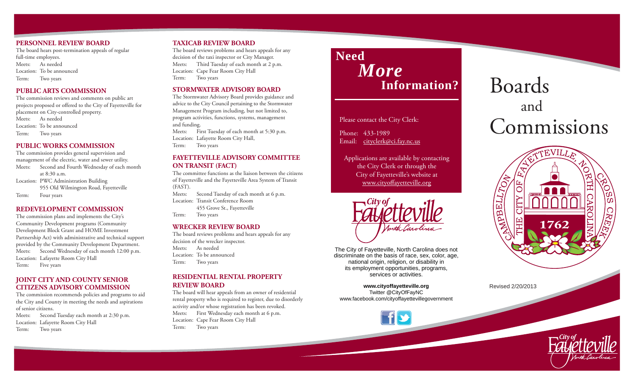#### **PERSONNEL REVIEW BOARD**

The board hears post-termination appeals of regular full-time employees. Meets: As neededLocation: To be announcedTerm: Two years

# **PUBLIC ARTS COMMISSION**

The commission reviews and comments on public art projects proposed or offered to the City of Fayetteville for placement on City-controlled property. Meets: As neededLocation: To be announcedTerm: Two years

# **PUBLIC WORKS COMMISSION**

The commission provides general supervision and management of the electric, water and sewer utility. Meets: Second and Fourth Wednesday of each month at 8:30 a.m. Location: PWC Administration Building 955 Old Wilmington Road, Fayetteville Term: Four years

# **REDEVELOPMENT COMMISSION**

The commission plans and implements the City's Community Development programs (Community Development Block Grant and HOME Investment Partnership Act) with administrative and technical support provided by the Community Development Department. Meets: Second Wednesday of each month 12:00 p.m. Location: Lafayette Room City Hall Term: Five years

# **JOINT CITY AND COUNTY SENIOR CITIZENS ADVISORY COMMISSION**

The commission recommends policies and programs to aid the City and County in meeting the needs and aspirations of senior citizens.

Meets: Second Tuesday each month at 2:30 p.m. Location: Lafayette Room City Hall Term: Two years

# **TAXICAB REVIEW BOARD**

The board reviews problems and hears appeals for any decision of the taxi inspector or City Manager. Meets: Third Tuesday of each month at 2 p.m. Location: Cape Fear Room City Hall Term: Two years

# **STORMWATER ADVISORY BOARD**

The Stormwater Advisory Board provides guidance and advice to the City Council pertaining to the Stormwater Management Program including, but not limited to, program activities, functions, systems, management and funding.

Meets: First Tuesday of each month at 5:30 p.m. Location: Lafayette Room City Hall, Term: Two years

# **FAYETTEVILLE ADVISORY COMMITTEE ON TRANSIT (FACT)**

The committee functions as the liaison between the citizens of Fayetteville and the Fayetteville Area System of Transit (FAST).

Meets: Second Tuesday of each month at 6 p.m. Location: Transit Conference Room 455 Grove St., Fayetteville Term: Two years

# **WRECKER REVIEW BOARD**

The board reviews problems and hears appeals for any decision of the wrecker inspector. Meets: As neededLocation: To be announcedTerm: Two years

#### **RESIDENTIAL RENTAL PROPERTY REVIEW BOARD**

The board will hear appeals from an owner of residential rental property who is required to register, due to disorderly activity and/or whose registration has been revoked. Meets: First Wednesday each month at 6 p.m. Location: Cape Fear Room City Hall Term: Two years

# **Need**  *More* **Information?**

Please contact the City Clerk:

Phone: 433-1989 Email: cityclerk@ci.fay.nc.us

Applications are available by contacting the City Clerk or through the City of Fayetteville's website at www.cityoffayetteville.org



The City of Fayetteville, North Carolina does not discriminate on the basis of race, sex, color, age, national origin, religion, or disability in its employment opportunities, programs, services or activities.

**www.cityoffayetteville.org** Twitter @CityOfFayNC www.facebook.com/cityoffayettevillegovernment

# Boards and Commissions



Revised 2/20/2013